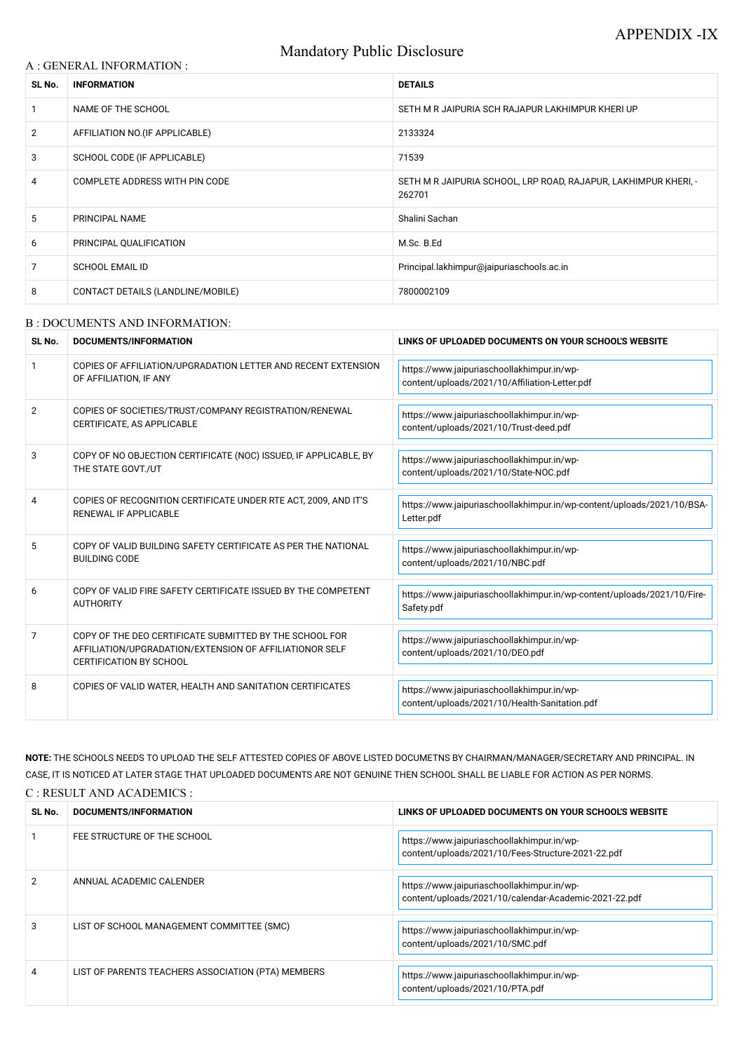# Mandatory Public Disclosure

### A : GENERAL INFORMATION :

| SL No.         | <b>INFORMATION</b>                | <b>DETAILS</b>                                                            |
|----------------|-----------------------------------|---------------------------------------------------------------------------|
|                | NAME OF THE SCHOOL                | SETH M R JAIPURIA SCH RAJAPUR LAKHIMPUR KHERI UP                          |
| $\overline{2}$ | AFFILIATION NO. (IF APPLICABLE)   | 2133324                                                                   |
| 3              | SCHOOL CODE (IF APPLICABLE)       | 71539                                                                     |
| 4              | COMPLETE ADDRESS WITH PIN CODE    | SETH M R JAIPURIA SCHOOL, LRP ROAD, RAJAPUR, LAKHIMPUR KHERI, -<br>262701 |
| 5              | <b>PRINCIPAL NAME</b>             | Shalini Sachan                                                            |
| 6              | PRINCIPAL QUALIFICATION           | M.Sc. B.Ed                                                                |
| 7              | <b>SCHOOL EMAIL ID</b>            | Principal.lakhimpur@jaipuriaschools.ac.in                                 |
| 8              | CONTACT DETAILS (LANDLINE/MOBILE) | 7800002109                                                                |

#### B : DOCUMENTS AND INFORMATION:

| SL No.         | <b>DOCUMENTS/INFORMATION</b>                                                                                                                         | LINKS OF UPLOADED DOCUMENTS ON YOUR SCHOOL'S WEBSITE                                         |  |
|----------------|------------------------------------------------------------------------------------------------------------------------------------------------------|----------------------------------------------------------------------------------------------|--|
|                | COPIES OF AFFILIATION/UPGRADATION LETTER AND RECENT EXTENSION<br>OF AFFILIATION, IF ANY                                                              | https://www.jaipuriaschoollakhimpur.in/wp-<br>content/uploads/2021/10/Affiliation-Letter.pdf |  |
| $\overline{2}$ | COPIES OF SOCIETIES/TRUST/COMPANY REGISTRATION/RENEWAL<br>CERTIFICATE, AS APPLICABLE                                                                 | https://www.jaipuriaschoollakhimpur.in/wp-<br>content/uploads/2021/10/Trust-deed.pdf         |  |
| 3              | COPY OF NO OBJECTION CERTIFICATE (NOC) ISSUED, IF APPLICABLE, BY<br>THE STATE GOVT./UT                                                               | https://www.jaipuriaschoollakhimpur.in/wp-<br>content/uploads/2021/10/State-NOC.pdf          |  |
| 4              | COPIES OF RECOGNITION CERTIFICATE UNDER RTE ACT, 2009, AND IT'S<br><b>RENEWAL IF APPLICABLE</b>                                                      | https://www.jaipuriaschoollakhimpur.in/wp-content/uploads/2021/10/BSA-<br>Letter.pdf         |  |
| 5              | COPY OF VALID BUILDING SAFETY CERTIFICATE AS PER THE NATIONAL<br><b>BUILDING CODE</b>                                                                | https://www.jaipuriaschoollakhimpur.in/wp-<br>content/uploads/2021/10/NBC.pdf                |  |
| 6              | COPY OF VALID FIRE SAFETY CERTIFICATE ISSUED BY THE COMPETENT<br><b>AUTHORITY</b>                                                                    | https://www.jaipuriaschoollakhimpur.in/wp-content/uploads/2021/10/Fire-<br>Safety.pdf        |  |
| 7              | COPY OF THE DEO CERTIFICATE SUBMITTED BY THE SCHOOL FOR<br>AFFILIATION/UPGRADATION/EXTENSION OF AFFILIATIONOR SELF<br><b>CERTIFICATION BY SCHOOL</b> | https://www.jaipuriaschoollakhimpur.in/wp-<br>content/uploads/2021/10/DEO.pdf                |  |
| 8              | COPIES OF VALID WATER, HEALTH AND SANITATION CERTIFICATES                                                                                            | https://www.jaipuriaschoollakhimpur.in/wp-<br>content/uploads/2021/10/Health-Sanitation.pdf  |  |

**NOTE:** THE SCHOOLS NEEDS TO UPLOAD THE SELF ATTESTED COPIES OF ABOVE LISTED DOCUMETNS BY CHAIRMAN/MANAGER/SECRETARY AND PRINCIPAL. IN CASE, IT IS NOTICED AT LATER STAGE THAT UPLOADED DOCUMENTS ARE NOT GENUINE THEN SCHOOL SHALL BE LIABLE FOR ACTION AS PER NORMS. C : RESULT AND ACADEMICS :

| SL No. | DOCUMENTS/INFORMATION                              | LINKS OF UPLOADED DOCUMENTS ON YOUR SCHOOL'S WEBSITE                                                |
|--------|----------------------------------------------------|-----------------------------------------------------------------------------------------------------|
|        | FEE STRUCTURE OF THE SCHOOL                        | https://www.jaipuriaschoollakhimpur.in/wp-<br>content/uploads/2021/10/Fees-Structure-2021-22.pdf    |
|        | ANNUAL ACADEMIC CALENDER                           | https://www.jaipuriaschoollakhimpur.in/wp-<br>content/uploads/2021/10/calendar-Academic-2021-22.pdf |
| 3      | LIST OF SCHOOL MANAGEMENT COMMITTEE (SMC)          | https://www.jaipuriaschoollakhimpur.in/wp-<br>content/uploads/2021/10/SMC.pdf                       |
| 4      | LIST OF PARENTS TEACHERS ASSOCIATION (PTA) MEMBERS | https://www.jaipuriaschoollakhimpur.in/wp-<br>content/uploads/2021/10/PTA.pdf                       |